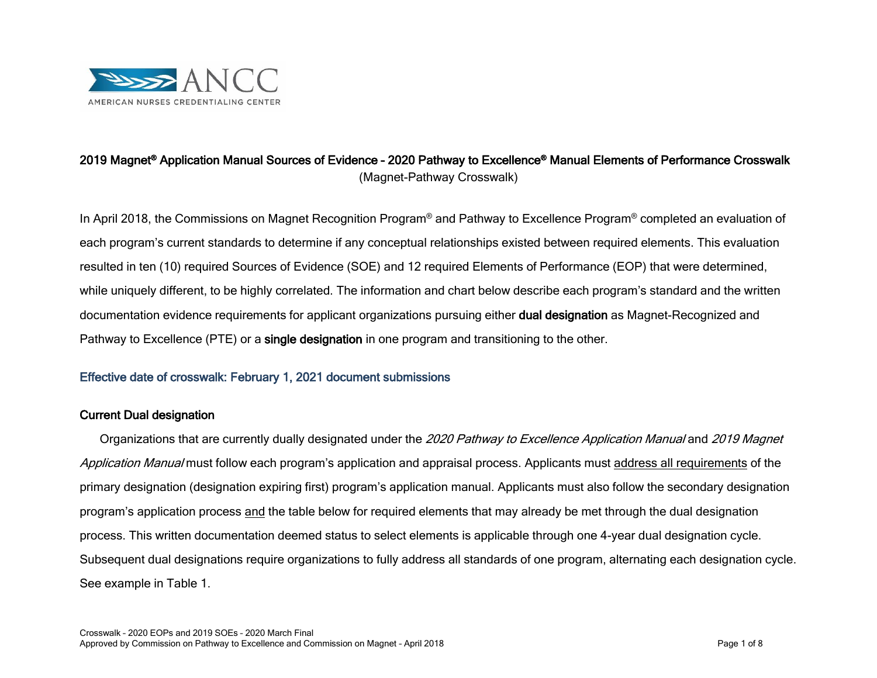

## 2019 Magnet® Application Manual Sources of Evidence – 2020 Pathway to Excellence® Manual Elements of Performance Crosswalk (Magnet-Pathway Crosswalk)

In April 2018, the Commissions on Magnet Recognition Program® and Pathway to Excellence Program® completed an evaluation of each program's current standards to determine if any conceptual relationships existed between required elements. This evaluation resulted in ten (10) required Sources of Evidence (SOE) and 12 required Elements of Performance (EOP) that were determined, while uniquely different, to be highly correlated. The information and chart below describe each program's standard and the written documentation evidence requirements for applicant organizations pursuing either **dual designation** as Magnet-Recognized and Pathway to Excellence (PTE) or a single designation in one program and transitioning to the other.

## Effective date of crosswalk: February 1, 2021 document submissions

#### Current Dual designation

Organizations that are currently dually designated under the 2020 Pathway to Excellence Application Manual and 2019 Magnet Application Manual must follow each program's application and appraisal process. Applicants must address all requirements of the primary designation (designation expiring first) program's application manual. Applicants must also follow the secondary designation program's application process and the table below for required elements that may already be met through the dual designation process. This written documentation deemed status to select elements is applicable through one 4-year dual designation cycle. Subsequent dual designations require organizations to fully address all standards of one program, alternating each designation cycle. See example in Table 1.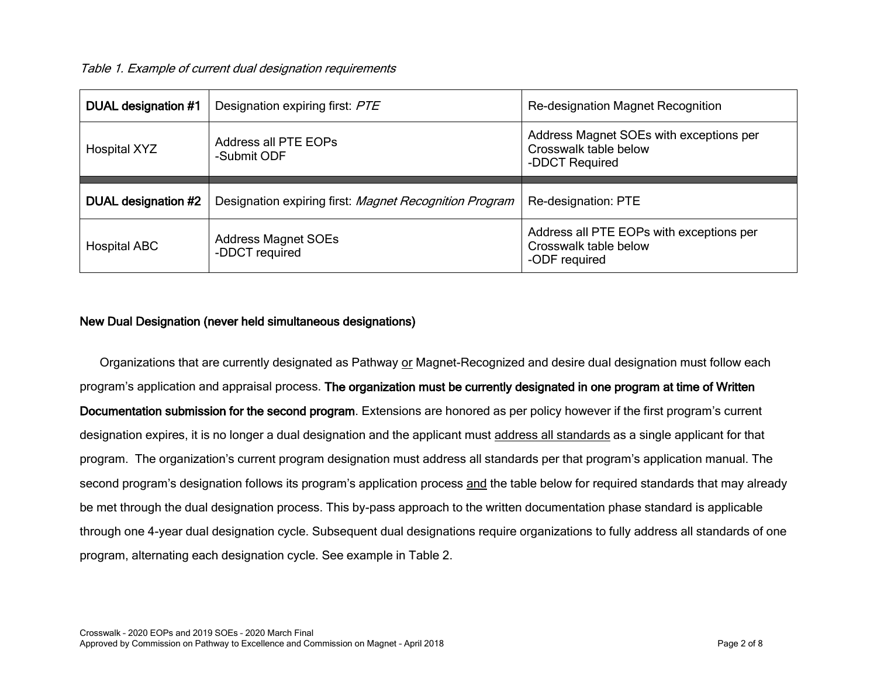Table 1. Example of current dual designation requirements

| DUAL designation #1 | Designation expiring first: PTE                        | Re-designation Magnet Recognition                                                  |  |
|---------------------|--------------------------------------------------------|------------------------------------------------------------------------------------|--|
| Hospital XYZ        | Address all PTE EOPs<br>-Submit ODF                    | Address Magnet SOEs with exceptions per<br>Crosswalk table below<br>-DDCT Required |  |
|                     |                                                        |                                                                                    |  |
|                     |                                                        |                                                                                    |  |
| DUAL designation #2 | Designation expiring first: Magnet Recognition Program | Re-designation: PTE                                                                |  |

#### New Dual Designation (never held simultaneous designations)

Organizations that are currently designated as Pathway or Magnet-Recognized and desire dual designation must follow each program's application and appraisal process. The organization must be currently designated in one program at time of Written Documentation submission for the second program. Extensions are honored as per policy however if the first program's current designation expires, it is no longer a dual designation and the applicant must address all standards as a single applicant for that program. The organization's current program designation must address all standards per that program's application manual. The second program's designation follows its program's application process and the table below for required standards that may already be met through the dual designation process. This by-pass approach to the written documentation phase standard is applicable through one 4-year dual designation cycle. Subsequent dual designations require organizations to fully address all standards of one program, alternating each designation cycle. See example in Table 2.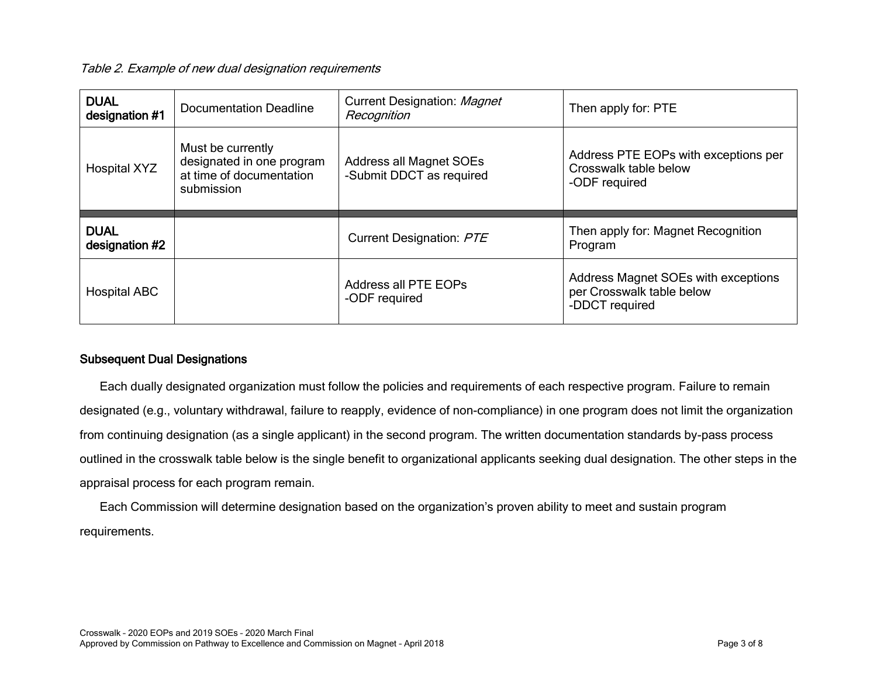Table 2. Example of new dual designation requirements

| <b>DUAL</b><br>designation #1 | <b>Documentation Deadline</b>                                                            | Current Designation: Magnet<br>Recognition          | Then apply for: PTE                                                            |
|-------------------------------|------------------------------------------------------------------------------------------|-----------------------------------------------------|--------------------------------------------------------------------------------|
| <b>Hospital XYZ</b>           | Must be currently<br>designated in one program<br>at time of documentation<br>submission | Address all Magnet SOEs<br>-Submit DDCT as required | Address PTE EOPs with exceptions per<br>Crosswalk table below<br>-ODF required |
|                               |                                                                                          |                                                     |                                                                                |
| <b>DUAL</b><br>designation #2 |                                                                                          | Current Designation: PTE                            | Then apply for: Magnet Recognition<br>Program                                  |

## Subsequent Dual Designations

Each dually designated organization must follow the policies and requirements of each respective program. Failure to remain designated (e.g., voluntary withdrawal, failure to reapply, evidence of non-compliance) in one program does not limit the organization from continuing designation (as a single applicant) in the second program. The written documentation standards by-pass process outlined in the crosswalk table below is the single benefit to organizational applicants seeking dual designation. The other steps in the appraisal process for each program remain.

Each Commission will determine designation based on the organization's proven ability to meet and sustain program requirements.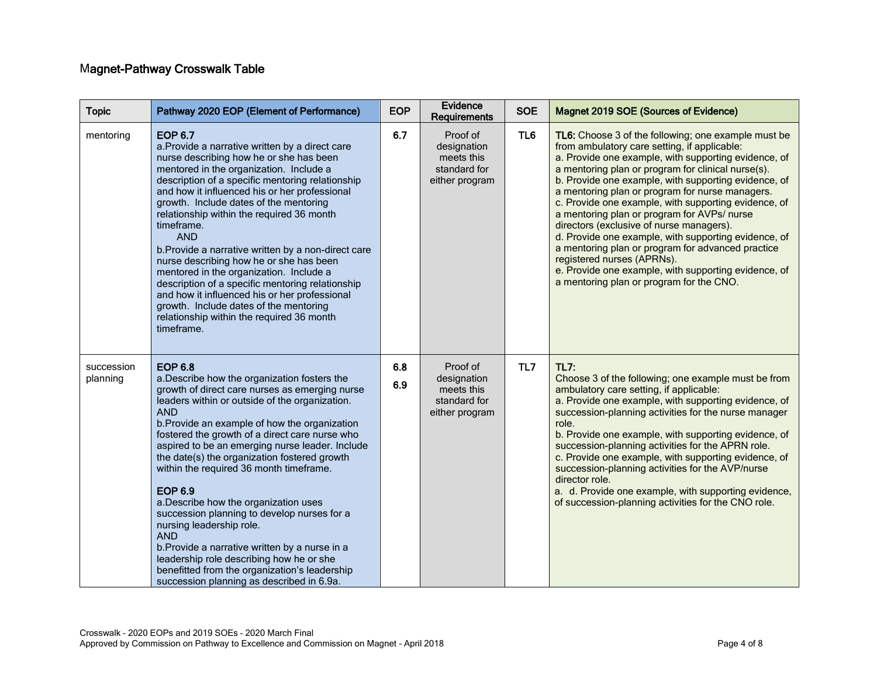# Magnet-Pathway Crosswalk Table

| <b>Topic</b>           | Pathway 2020 EOP (Element of Performance)                                                                                                                                                                                                                                                                                                                                                                                                                                                                                                                                                                                                                                                                                                                                         | <b>EOP</b> | Evidence<br>Requirements                                                | <b>SOE</b> | Magnet 2019 SOE (Sources of Evidence)                                                                                                                                                                                                                                                                                                                                                                                                                                                                                                                                                                                                                                                                                          |
|------------------------|-----------------------------------------------------------------------------------------------------------------------------------------------------------------------------------------------------------------------------------------------------------------------------------------------------------------------------------------------------------------------------------------------------------------------------------------------------------------------------------------------------------------------------------------------------------------------------------------------------------------------------------------------------------------------------------------------------------------------------------------------------------------------------------|------------|-------------------------------------------------------------------------|------------|--------------------------------------------------------------------------------------------------------------------------------------------------------------------------------------------------------------------------------------------------------------------------------------------------------------------------------------------------------------------------------------------------------------------------------------------------------------------------------------------------------------------------------------------------------------------------------------------------------------------------------------------------------------------------------------------------------------------------------|
| mentoring              | <b>EOP 6.7</b><br>a. Provide a narrative written by a direct care<br>nurse describing how he or she has been<br>mentored in the organization. Include a<br>description of a specific mentoring relationship<br>and how it influenced his or her professional<br>growth. Include dates of the mentoring<br>relationship within the required 36 month<br>timeframe.<br><b>AND</b><br>b. Provide a narrative written by a non-direct care<br>nurse describing how he or she has been<br>mentored in the organization. Include a<br>description of a specific mentoring relationship<br>and how it influenced his or her professional<br>growth. Include dates of the mentoring<br>relationship within the required 36 month<br>timeframe.                                            | 6.7        | Proof of<br>designation<br>meets this<br>standard for<br>either program | TL6        | TL6: Choose 3 of the following; one example must be<br>from ambulatory care setting, if applicable:<br>a. Provide one example, with supporting evidence, of<br>a mentoring plan or program for clinical nurse(s).<br>b. Provide one example, with supporting evidence, of<br>a mentoring plan or program for nurse managers.<br>c. Provide one example, with supporting evidence, of<br>a mentoring plan or program for AVPs/ nurse<br>directors (exclusive of nurse managers).<br>d. Provide one example, with supporting evidence, of<br>a mentoring plan or program for advanced practice<br>registered nurses (APRNs).<br>e. Provide one example, with supporting evidence, of<br>a mentoring plan or program for the CNO. |
| succession<br>planning | <b>EOP 6.8</b><br>a. Describe how the organization fosters the<br>growth of direct care nurses as emerging nurse<br>leaders within or outside of the organization.<br><b>AND</b><br>b. Provide an example of how the organization<br>fostered the growth of a direct care nurse who<br>aspired to be an emerging nurse leader. Include<br>the date(s) the organization fostered growth<br>within the required 36 month timeframe.<br><b>EOP 6.9</b><br>a. Describe how the organization uses<br>succession planning to develop nurses for a<br>nursing leadership role.<br><b>AND</b><br>b. Provide a narrative written by a nurse in a<br>leadership role describing how he or she<br>benefitted from the organization's leadership<br>succession planning as described in 6.9a. | 6.8<br>6.9 | Proof of<br>designation<br>meets this<br>standard for<br>either program | TL7        | <b>TL7:</b><br>Choose 3 of the following; one example must be from<br>ambulatory care setting, if applicable:<br>a. Provide one example, with supporting evidence, of<br>succession-planning activities for the nurse manager<br>role.<br>b. Provide one example, with supporting evidence, of<br>succession-planning activities for the APRN role.<br>c. Provide one example, with supporting evidence, of<br>succession-planning activities for the AVP/nurse<br>director role.<br>a. d. Provide one example, with supporting evidence,<br>of succession-planning activities for the CNO role.                                                                                                                               |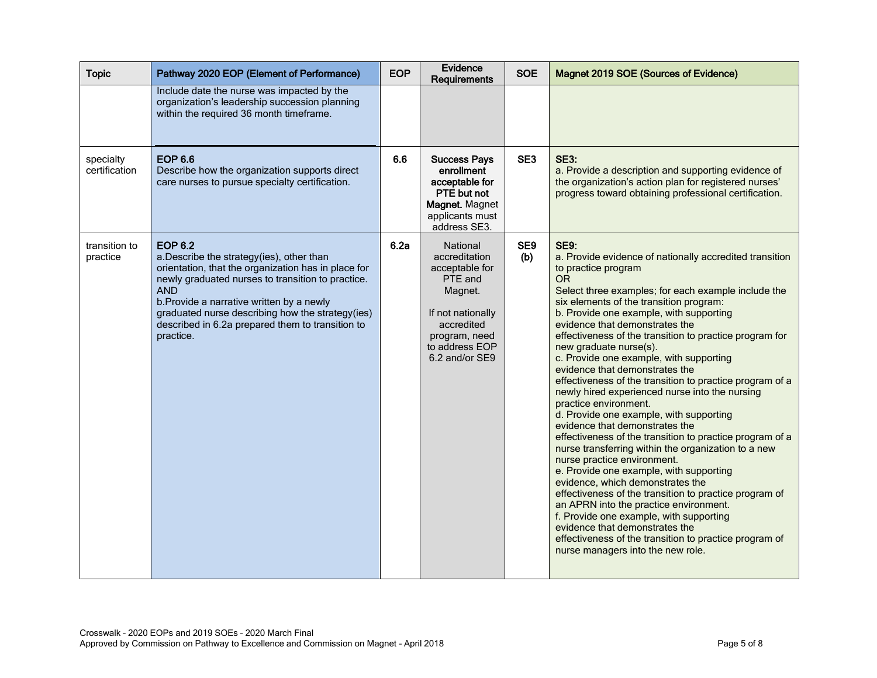| <b>Topic</b>               | Pathway 2020 EOP (Element of Performance)                                                                                                                                                                                                                                                                                                              | <b>EOP</b> | Evidence<br>Requirements                                                                                                                                  | <b>SOE</b>             | Magnet 2019 SOE (Sources of Evidence)                                                                                                                                                                                                                                                                                                                                                                                                                                                                                                                                                                                                                                                                                                                                                                                                                                                                                                                                                                                                                                                                                                                                                            |
|----------------------------|--------------------------------------------------------------------------------------------------------------------------------------------------------------------------------------------------------------------------------------------------------------------------------------------------------------------------------------------------------|------------|-----------------------------------------------------------------------------------------------------------------------------------------------------------|------------------------|--------------------------------------------------------------------------------------------------------------------------------------------------------------------------------------------------------------------------------------------------------------------------------------------------------------------------------------------------------------------------------------------------------------------------------------------------------------------------------------------------------------------------------------------------------------------------------------------------------------------------------------------------------------------------------------------------------------------------------------------------------------------------------------------------------------------------------------------------------------------------------------------------------------------------------------------------------------------------------------------------------------------------------------------------------------------------------------------------------------------------------------------------------------------------------------------------|
|                            | Include date the nurse was impacted by the<br>organization's leadership succession planning<br>within the required 36 month timeframe.                                                                                                                                                                                                                 |            |                                                                                                                                                           |                        |                                                                                                                                                                                                                                                                                                                                                                                                                                                                                                                                                                                                                                                                                                                                                                                                                                                                                                                                                                                                                                                                                                                                                                                                  |
| specialty<br>certification | <b>EOP 6.6</b><br>Describe how the organization supports direct<br>care nurses to pursue specialty certification.                                                                                                                                                                                                                                      | 6.6        | <b>Success Pays</b><br>enrollment<br>acceptable for<br>PTE but not<br>Magnet. Magnet<br>applicants must<br>address SE3.                                   | SE <sub>3</sub>        | <b>SE3:</b><br>a. Provide a description and supporting evidence of<br>the organization's action plan for registered nurses'<br>progress toward obtaining professional certification.                                                                                                                                                                                                                                                                                                                                                                                                                                                                                                                                                                                                                                                                                                                                                                                                                                                                                                                                                                                                             |
| transition to<br>practice  | <b>EOP 6.2</b><br>a.Describe the strategy(ies), other than<br>orientation, that the organization has in place for<br>newly graduated nurses to transition to practice.<br><b>AND</b><br>b. Provide a narrative written by a newly<br>graduated nurse describing how the strategy(ies)<br>described in 6.2a prepared them to transition to<br>practice. | 6.2a       | National<br>accreditation<br>acceptable for<br>PTE and<br>Magnet.<br>If not nationally<br>accredited<br>program, need<br>to address EOP<br>6.2 and/or SE9 | SE <sub>9</sub><br>(b) | <b>SE9:</b><br>a. Provide evidence of nationally accredited transition<br>to practice program<br><b>OR</b><br>Select three examples; for each example include the<br>six elements of the transition program:<br>b. Provide one example, with supporting<br>evidence that demonstrates the<br>effectiveness of the transition to practice program for<br>new graduate nurse(s).<br>c. Provide one example, with supporting<br>evidence that demonstrates the<br>effectiveness of the transition to practice program of a<br>newly hired experienced nurse into the nursing<br>practice environment.<br>d. Provide one example, with supporting<br>evidence that demonstrates the<br>effectiveness of the transition to practice program of a<br>nurse transferring within the organization to a new<br>nurse practice environment.<br>e. Provide one example, with supporting<br>evidence, which demonstrates the<br>effectiveness of the transition to practice program of<br>an APRN into the practice environment.<br>f. Provide one example, with supporting<br>evidence that demonstrates the<br>effectiveness of the transition to practice program of<br>nurse managers into the new role. |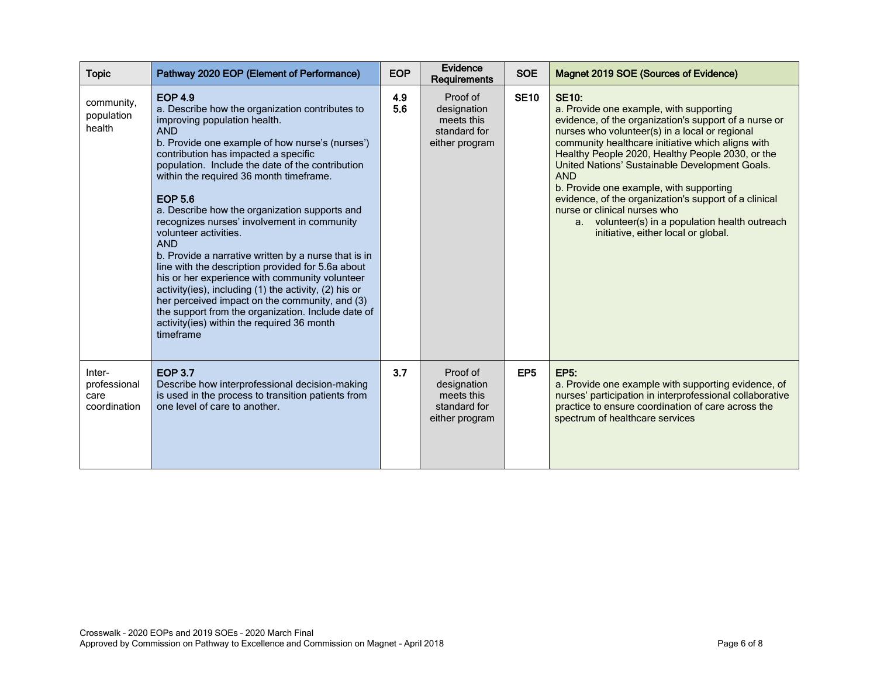| <b>Topic</b>                                   | Pathway 2020 EOP (Element of Performance)                                                                                                                                                                                                                                                                                                                                                                                                                                                                                                                                                                                                                                                                                                                                                                                                                     | <b>EOP</b> | Evidence<br>Requirements                                                | <b>SOE</b>      | Magnet 2019 SOE (Sources of Evidence)                                                                                                                                                                                                                                                                                                                                                                                                                                                                                                                                                    |
|------------------------------------------------|---------------------------------------------------------------------------------------------------------------------------------------------------------------------------------------------------------------------------------------------------------------------------------------------------------------------------------------------------------------------------------------------------------------------------------------------------------------------------------------------------------------------------------------------------------------------------------------------------------------------------------------------------------------------------------------------------------------------------------------------------------------------------------------------------------------------------------------------------------------|------------|-------------------------------------------------------------------------|-----------------|------------------------------------------------------------------------------------------------------------------------------------------------------------------------------------------------------------------------------------------------------------------------------------------------------------------------------------------------------------------------------------------------------------------------------------------------------------------------------------------------------------------------------------------------------------------------------------------|
| community,<br>population<br>health             | <b>EOP 4.9</b><br>a. Describe how the organization contributes to<br>improving population health.<br><b>AND</b><br>b. Provide one example of how nurse's (nurses')<br>contribution has impacted a specific<br>population. Include the date of the contribution<br>within the required 36 month timeframe.<br><b>EOP 5.6</b><br>a. Describe how the organization supports and<br>recognizes nurses' involvement in community<br>volunteer activities.<br><b>AND</b><br>b. Provide a narrative written by a nurse that is in<br>line with the description provided for 5.6a about<br>his or her experience with community volunteer<br>activity(ies), including (1) the activity, (2) his or<br>her perceived impact on the community, and (3)<br>the support from the organization. Include date of<br>activity(ies) within the required 36 month<br>timeframe | 4.9<br>5.6 | Proof of<br>designation<br>meets this<br>standard for<br>either program | <b>SE10</b>     | <b>SE10:</b><br>a. Provide one example, with supporting<br>evidence, of the organization's support of a nurse or<br>nurses who volunteer(s) in a local or regional<br>community healthcare initiative which aligns with<br>Healthy People 2020, Healthy People 2030, or the<br>United Nations' Sustainable Development Goals.<br><b>AND</b><br>b. Provide one example, with supporting<br>evidence, of the organization's support of a clinical<br>nurse or clinical nurses who<br>volunteer(s) in a population health outreach<br>a <sub>z</sub><br>initiative, either local or global. |
| Inter-<br>professional<br>care<br>coordination | <b>EOP 3.7</b><br>Describe how interprofessional decision-making<br>is used in the process to transition patients from<br>one level of care to another.                                                                                                                                                                                                                                                                                                                                                                                                                                                                                                                                                                                                                                                                                                       | 3.7        | Proof of<br>designation<br>meets this<br>standard for<br>either program | EP <sub>5</sub> | <b>EP5:</b><br>a. Provide one example with supporting evidence, of<br>nurses' participation in interprofessional collaborative<br>practice to ensure coordination of care across the<br>spectrum of healthcare services                                                                                                                                                                                                                                                                                                                                                                  |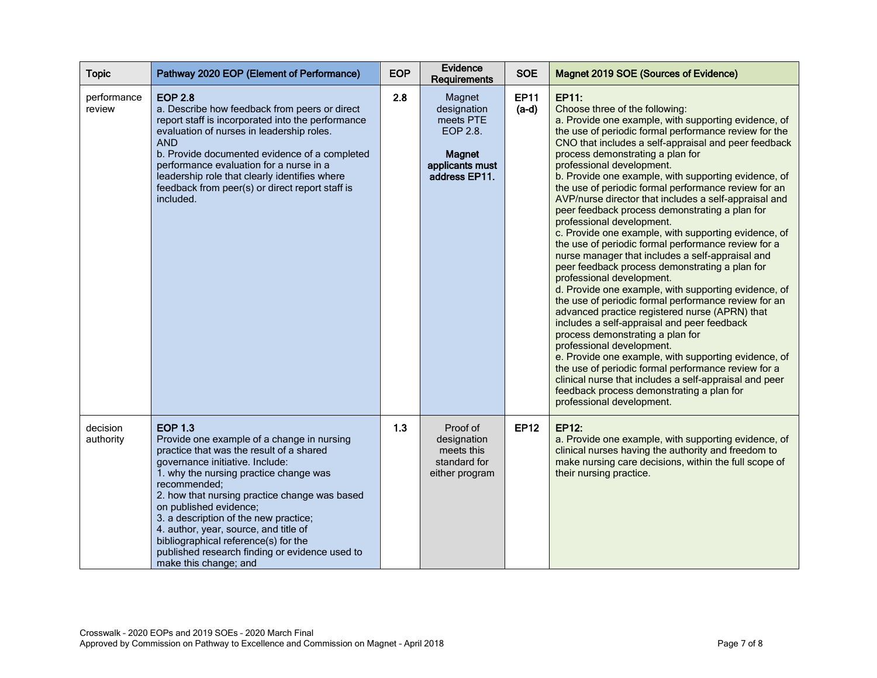| <b>Topic</b>          | Pathway 2020 EOP (Element of Performance)                                                                                                                                                                                                                                                                                                                                                                                                                                             | <b>EOP</b> | Evidence<br>Requirements                                                                            | <b>SOE</b>             | Magnet 2019 SOE (Sources of Evidence)                                                                                                                                                                                                                                                                                                                                                                                                                                                                                                                                                                                                                                                                                                                                                                                                                                                                                                                                                                                                                                                                                                                                                                                                                                                                                            |
|-----------------------|---------------------------------------------------------------------------------------------------------------------------------------------------------------------------------------------------------------------------------------------------------------------------------------------------------------------------------------------------------------------------------------------------------------------------------------------------------------------------------------|------------|-----------------------------------------------------------------------------------------------------|------------------------|----------------------------------------------------------------------------------------------------------------------------------------------------------------------------------------------------------------------------------------------------------------------------------------------------------------------------------------------------------------------------------------------------------------------------------------------------------------------------------------------------------------------------------------------------------------------------------------------------------------------------------------------------------------------------------------------------------------------------------------------------------------------------------------------------------------------------------------------------------------------------------------------------------------------------------------------------------------------------------------------------------------------------------------------------------------------------------------------------------------------------------------------------------------------------------------------------------------------------------------------------------------------------------------------------------------------------------|
| performance<br>review | <b>EOP 2.8</b><br>a. Describe how feedback from peers or direct<br>report staff is incorporated into the performance<br>evaluation of nurses in leadership roles.<br><b>AND</b><br>b. Provide documented evidence of a completed<br>performance evaluation for a nurse in a<br>leadership role that clearly identifies where<br>feedback from peer(s) or direct report staff is<br>included.                                                                                          | 2.8        | Magnet<br>designation<br>meets PTE<br>EOP 2.8.<br><b>Magnet</b><br>applicants must<br>address EP11. | <b>EP11</b><br>$(a-d)$ | EP11:<br>Choose three of the following:<br>a. Provide one example, with supporting evidence, of<br>the use of periodic formal performance review for the<br>CNO that includes a self-appraisal and peer feedback<br>process demonstrating a plan for<br>professional development.<br>b. Provide one example, with supporting evidence, of<br>the use of periodic formal performance review for an<br>AVP/nurse director that includes a self-appraisal and<br>peer feedback process demonstrating a plan for<br>professional development.<br>c. Provide one example, with supporting evidence, of<br>the use of periodic formal performance review for a<br>nurse manager that includes a self-appraisal and<br>peer feedback process demonstrating a plan for<br>professional development.<br>d. Provide one example, with supporting evidence, of<br>the use of periodic formal performance review for an<br>advanced practice registered nurse (APRN) that<br>includes a self-appraisal and peer feedback<br>process demonstrating a plan for<br>professional development.<br>e. Provide one example, with supporting evidence, of<br>the use of periodic formal performance review for a<br>clinical nurse that includes a self-appraisal and peer<br>feedback process demonstrating a plan for<br>professional development. |
| decision<br>authority | <b>EOP 1.3</b><br>Provide one example of a change in nursing<br>practice that was the result of a shared<br>governance initiative. Include:<br>1. why the nursing practice change was<br>recommended;<br>2. how that nursing practice change was based<br>on published evidence;<br>3. a description of the new practice;<br>4. author, year, source, and title of<br>bibliographical reference(s) for the<br>published research finding or evidence used to<br>make this change; and | 1.3        | Proof of<br>designation<br>meets this<br>standard for<br>either program                             | <b>EP12</b>            | <b>EP12:</b><br>a. Provide one example, with supporting evidence, of<br>clinical nurses having the authority and freedom to<br>make nursing care decisions, within the full scope of<br>their nursing practice.                                                                                                                                                                                                                                                                                                                                                                                                                                                                                                                                                                                                                                                                                                                                                                                                                                                                                                                                                                                                                                                                                                                  |